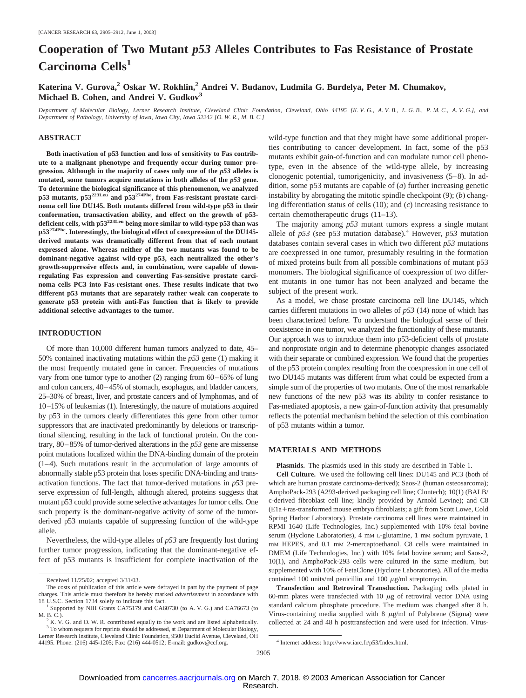### **Cooperation of Two Mutant** *p53* **Alleles Contributes to Fas Resistance of Prostate Carcinoma Cells<sup>1</sup>**

**Katerina V. Gurova,2 Oskar W. Rokhlin,2 Andrei V. Budanov, Ludmila G. Burdelya, Peter M. Chumakov, Michael B. Cohen, and Andrei V. Gudkov3**

*Department of Molecular Biology, Lerner Research Institute, Cleveland Clinic Foundation, Cleveland, Ohio 44195 [K. V. G., A. V. B., L. G. B., P. M. C., A. V. G.], and Department of Pathology, University of Iowa, Iowa City, Iowa 52242 [O. W. R., M. B. C.]*

#### **ABSTRACT**

**Both inactivation of p53 function and loss of sensitivity to Fas contribute to a malignant phenotype and frequently occur during tumor progression. Although in the majority of cases only one of the** *p53* **alleles is mutated, some tumors acquire mutations in both alleles of the** *p53* **gene. To determine the biological significance of this phenomenon, we analyzed p53 mutants, p53223Leu and p53274Phe, from Fas-resistant prostate carcinoma cell line DU145. Both mutants differed from wild-type p53 in their conformation, transactivation ability, and effect on the growth of p53 deficient cells, with p53223Leu being more similar to wild-type p53 than was p53274Phe. Interestingly, the biological effect of coexpression of the DU145 derived mutants was dramatically different from that of each mutant expressed alone. Whereas neither of the two mutants was found to be dominant-negative against wild-type p53, each neutralized the other's growth-suppressive effects and, in combination, were capable of downregulating Fas expression and converting Fas-sensitive prostate carcinoma cells PC3 into Fas-resistant ones. These results indicate that two different p53 mutants that are separately rather weak can cooperate to generate p53 protein with anti-Fas function that is likely to provide additional selective advantages to the tumor.**

#### **INTRODUCTION**

Of more than 10,000 different human tumors analyzed to date, 45– 50% contained inactivating mutations within the *p53* gene (1) making it the most frequently mutated gene in cancer. Frequencies of mutations vary from one tumor type to another (2) ranging from 60–65% of lung and colon cancers, 40–45% of stomach, esophagus, and bladder cancers, 25–30% of breast, liver, and prostate cancers and of lymphomas, and of 10–15% of leukemias (1). Interestingly, the nature of mutations acquired by p53 in the tumors clearly differentiates this gene from other tumor suppressors that are inactivated predominantly by deletions or transcriptional silencing, resulting in the lack of functional protein. On the contrary, 80–85% of tumor-derived alterations in the *p53* gene are missense point mutations localized within the DNA-binding domain of the protein (1–4). Such mutations result in the accumulation of large amounts of abnormally stable p53 protein that loses specific DNA-binding and transactivation functions. The fact that tumor-derived mutations in *p53* preserve expression of full-length, although altered, proteins suggests that mutant p53 could provide some selective advantages for tumor cells. One such property is the dominant-negative activity of some of the tumorderived p53 mutants capable of suppressing function of the wild-type allele.

Nevertheless, the wild-type alleles of *p53* are frequently lost during further tumor progression, indicating that the dominant-negative effect of p53 mutants is insufficient for complete inactivation of the wild-type function and that they might have some additional properties contributing to cancer development. In fact, some of the p53 mutants exhibit gain-of-function and can modulate tumor cell phenotype, even in the absence of the wild-type allele, by increasing clonogenic potential, tumorigenicity, and invasiveness (5–8). In addition, some p53 mutants are capable of (*a*) further increasing genetic instability by abrogating the mitotic spindle checkpoint (9); (*b*) changing differentiation status of cells (10); and (*c*) increasing resistance to certain chemotherapeutic drugs (11–13).

The majority among *p53* mutant tumors express a single mutant allele of  $p53$  (see p53 mutation database).<sup>4</sup> However,  $p53$  mutation databases contain several cases in which two different *p53* mutations are coexpressed in one tumor, presumably resulting in the formation of mixed proteins built from all possible combinations of mutant p53 monomers. The biological significance of coexpression of two different mutants in one tumor has not been analyzed and became the subject of the present work.

As a model, we chose prostate carcinoma cell line DU145, which carries different mutations in two alleles of *p53* (14) none of which has been characterized before. To understand the biological sense of their coexistence in one tumor, we analyzed the functionality of these mutants. Our approach was to introduce them into p53-deficient cells of prostate and nonprostate origin and to determine phenotypic changes associated with their separate or combined expression. We found that the properties of the p53 protein complex resulting from the coexpression in one cell of two DU145 mutants was different from what could be expected from a simple sum of the properties of two mutants. One of the most remarkable new functions of the new p53 was its ability to confer resistance to Fas-mediated apoptosis, a new gain-of-function activity that presumably reflects the potential mechanism behind the selection of this combination of p53 mutants within a tumor.

#### **MATERIALS AND METHODS**

**Plasmids.** The plasmids used in this study are described in Table 1.

**Cell Culture.** We used the following cell lines: DU145 and PC3 (both of which are human prostate carcinoma-derived); Saos-2 (human osteosarcoma); AmphoPack-293 (A293-derived packaging cell line; Clontech); 10(1) (BALB/ c-derived fibroblast cell line; kindly provided by Arnold Levine); and C8 (E1a+ras-transformed mouse embryo fibroblasts; a gift from Scott Lowe, Cold Spring Harbor Laboratory). Prostate carcinoma cell lines were maintained in RPMI 1640 (Life Technologies, Inc.) supplemented with 10% fetal bovine serum (Hyclone Laboratories), 4 mm L-glutamine, 1 mm sodium pyruvate, 1 mM HEPES, and 0.1 mM 2-mercaptoethanol. C8 cells were maintained in DMEM (Life Technologies, Inc.) with 10% fetal bovine serum; and Saos-2, 10(1), and AmphoPack-293 cells were cultured in the same medium, but supplemented with 10% of FetaClone (Hyclone Laboratories). All of the media contained 100 units/ml penicillin and 100  $\mu$ g/ml streptomycin.

**Transfection and Retroviral Transduction.** Packaging cells plated in 60-mm plates were transfected with 10  $\mu$ g of retroviral vector DNA using standard calcium phosphate procedure. The medium was changed after 8 h. Virus-containing media supplied with 8  $\mu$ g/ml of Polybrene (Sigma) were collected at 24 and 48 h posttransfection and were used for infection. Virus-

Received 11/25/02; accepted 3/31/03.

The costs of publication of this article were defrayed in part by the payment of page charges. This article must therefore be hereby marked *advertisement* in accordance with

 $18$  U.S. Solely NIH Grants CA75179 and CA60730 (to A. V. G.) and CA76673 (to M. B. C.).

<sup>&</sup>lt;sup>3</sup> To whom requests for reprints should be addressed, at Department of Molecular Biology,

 $K^2$  K. V. G. and O. W. R. contributed equally to the work and are listed alphabetically. Lerner Research Institute, Cleveland Clinic Foundation, 9500 Euclid Avenue, Cleveland, OH 44195. Phone: (216) 445-1205; Fax: (216) 444-0512; E-mail: gudkov@ccf.org. <sup>4</sup> Internet address: http://www.iarc.fr/p53/Index.html.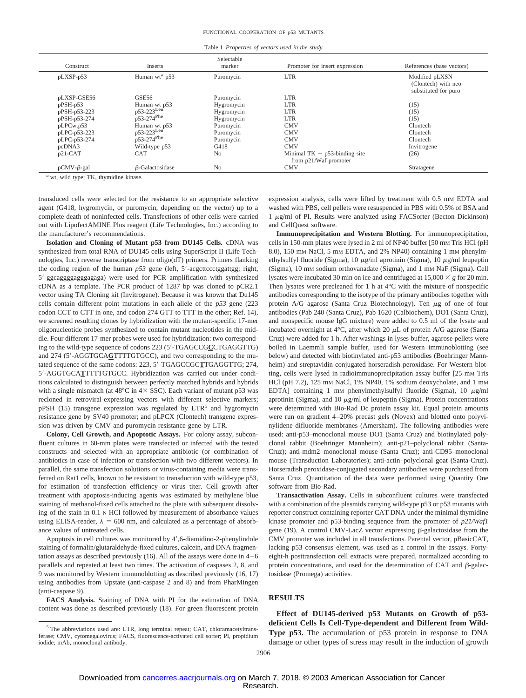Table 1 *Properties of vectors used in the study*

| Construct           | Inserts                     | Selectable<br>marker | Promoter for insert expression                            | References (base vectors)                                     |
|---------------------|-----------------------------|----------------------|-----------------------------------------------------------|---------------------------------------------------------------|
| pLXSP-p53           | Human wt <sup>a</sup> $p53$ | Puromycin            | <b>LTR</b>                                                | Modified pLXSN<br>(Clontech) with neo<br>substituted for puro |
| pLXSP-GSE56         | <b>GSE56</b>                | Puromycin            | <b>LTR</b>                                                |                                                               |
| $pPSH-p53$          | Human wt p53                | Hygromycin           | <b>LTR</b>                                                | (15)                                                          |
| pPSH-p53-223        | $p53-223$ Leu               | Hygromycin           | <b>LTR</b>                                                | (15)                                                          |
| pPSH-p53-274        | $p53-274$ <sup>Phe</sup>    | Hygromycin           | <b>LTR</b>                                                | (15)                                                          |
| pLPCwtp53           | Human wt p53                | Puromycin            | <b>CMV</b>                                                | Clontech                                                      |
| pLPC-p53-223        | p53-223 <sup>Leu</sup>      | Puromycin            | <b>CMV</b>                                                | Clontech                                                      |
| pLPC-p53-274        | $p53-274$ <sup>Phe</sup>    | Puromycin            | <b>CMV</b>                                                | Clontech                                                      |
| pcDNA3              | Wild-type p53               | G418                 | <b>CMV</b>                                                | Invitrogene                                                   |
| $p21-CAT$           | <b>CAT</b>                  | N <sub>0</sub>       | Minimal $TK + p53$ -binding site<br>from p21/Waf promoter | (26)                                                          |
| $pCMV - \beta$ -gal | B-Galactosidase             | N <sub>0</sub>       | <b>CMV</b>                                                | Stratagene                                                    |

*<sup>a</sup>* wt, wild type; TK, thymidine kinase.

transduced cells were selected for the resistance to an appropriate selective agent (G418, hygromycin, or puromycin, depending on the vector) up to a complete death of noninfected cells. Transfections of other cells were carried out with LipofectAMINE Plus reagent (Life Technologies, Inc.) according to the manufacturer's recommendations.

**Isolation and Cloning of Mutant p53 from DU145 Cells.** cDNA was synthesized from total RNA of DU145 cells using SuperScript II (Life Technologies, Inc.) reverse transcriptase from oligo(dT) primers. Primers flanking the coding region of the human  $p53$  gene (left,  $5'$ -acgcttccctggattgg; right, 5--ggcaggggagggagaga) were used for PCR amplification with synthesized cDNA as a template. The PCR product of 1287 bp was cloned to pCR2.1 vector using TA Cloning kit (Invitrogene). Because it was known that Du145 cells contain different point mutations in each allele of the *p53* gene (223 codon CCT to CTT in one, and codon 274 GTT to TTT in the other; Ref. 14), we screened resulting clones by hybridization with the mutant-specific 17-mer oligonucleotide probes synthesized to contain mutant nucleotides in the middle. Four different 17-mer probes were used for hybridization: two corresponding to the wild-type sequence of codons 223 (5--TGAGCCG**C**CTGAGGTTG) and 274 (5'-AGGTGCACTTTTGTGCC), and two corresponding to the mutated sequence of the same codons: 223, 5'-TGAGCCGCTTGAGGTTG; 274, 5'-AGGTGCATTTTTGTGCC. Hybridization was carried out under conditions calculated to distinguish between perfectly matched hybrids and hybrids with a single mismatch (at  $48^{\circ}$ C in  $4 \times$  SSC). Each variant of mutant p53 was recloned in retroviral-expressing vectors with different selective markers;  $pPSH$  (15) transgene expression was regulated by  $LTR<sup>5</sup>$  and hygromycin resistance gene by SV40 promoter; and pLPCX (Clontech) transgene expression was driven by CMV and puromycin resistance gene by LTR.

**Colony, Cell Growth, and Apoptotic Assays.** For colony assay, subconfluent cultures in 60-mm plates were transfected or infected with the tested constructs and selected with an appropriate antibiotic (or combination of antibiotics in case of infection or transfection with two different vectors). In parallel, the same transfection solutions or virus-containing media were transferred on Rat1 cells, known to be resistant to transduction with wild-type p53, for estimation of transfection efficiency or virus titer. Cell growth after treatment with apoptosis-inducing agents was estimated by methylene blue staining of methanol-fixed cells attached to the plate with subsequent dissolving of the stain in 0.1 N HCl followed by measurement of absorbance values using ELISA-reader,  $\lambda = 600$  nm, and calculated as a percentage of absorbance values of untreated cells.

Apoptosis in cell cultures was monitored by 4',6-diamidino-2-phenylindole staining of formalin/glutaraldehyde-fixed cultures, calcein, and DNA fragmentation assays as described previously  $(16)$ . All of the assays were done in  $4-6$ parallels and repeated at least two times. The activation of caspases 2, 8, and 9 was monitored by Western immunoblotting as described previously (16, 17) using antibodies from Upstate (anti-caspase 2 and 8) and from PharMingen (anti-caspase 9).

**FACS Analysis.** Staining of DNA with PI for the estimation of DNA content was done as described previously (18). For green fluorescent protein expression analysis, cells were lifted by treatment with 0.5 mM EDTA and washed with PBS, cell pellets were resuspended in PBS with 0.5% of BSA and  $1 \mu g/ml$  of PI. Results were analyzed using FACSorter (Becton Dickinson) and CellQuest software.

**Immunoprecipitation and Western Blotting.** For immunoprecipitation, cells in 150-mm plates were lysed in 2 ml of NP40 buffer [50 mM Tris HCl (pH 8.0), 150 mM NaCl, 5 mM EDTA, and 2% NP40) containing 1 mM phenylmethylsulfyl fluoride (Sigma), 10  $\mu$ g/ml aprotinin (Sigma), 10  $\mu$ g/ml leupeptin (Sigma), 10 mM sodium orthovanadate (Sigma), and 1 mM NaF (Sigma). Cell lysates were incubated 30 min on ice and centrifuged at  $15,000 \times g$  for 20 min. Then lysates were precleaned for 1 h at 4°C with the mixture of nonspecific antibodies corresponding to the isotype of the primary antibodies together with protein A/G agarose (Santa Cruz Biotechnology). Ten  $\mu$ g of one of four antibodies (Pab 240 (Santa Cruz), Pab 1620 (Calbiochem), DO1 (Santa Cruz), and nonspecific mouse IgG mixture) were added to 0.5 ml of the lysate and incubated overnight at  $4^{\circ}$ C, after which 20  $\mu$ L of protein A/G agarose (Santa Cruz) were added for 1 h. After washings in lyses buffer, agarose pellets were boiled in Laemmli sample buffer, used for Western immunoblotting (see below) and detected with biotinylated anti-p53 antibodies (Boehringer Mannheim) and streptavidin-conjugated horseradish peroxidase. For Western blotting, cells were lysed in radioimmunoprecipitation assay buffer [25 mM Tris HCl (pH 7.2), 125 mM NaCl, 1% NP40, 1% sodium deoxycholate, and 1 mM EDTA] containing 1 mM phenylmethylsulfyl fluoride (Sigma), 10  $\mu$ g/ml aprotinin (Sigma), and 10  $\mu$ g/ml of leupeptin (Sigma). Protein concentrations were determined with Bio-Rad Dc protein assay kit. Equal protein amounts were run on gradient 4–20% precast gels (Novex) and blotted onto polyvinylidene difluoride membranes (Amersham). The following antibodies were used: anti-p53–monoclonal mouse DO1 (Santa Cruz) and biotinylated polyclonal rabbit (Boehringer Mannheim); anti-p21–polyclonal rabbit (Santa-Cruz); anti-mdm2–monoclonal mouse (Santa Cruz); anti-CD95–monoclonal mouse (Transduction Laboratories); anti-actin–polyclonal goat (Santa-Cruz). Horseradish peroxidase-conjugated secondary antibodies were purchased from Santa Cruz. Quantitation of the data were performed using Quantity One software from Bio-Rad.

**Transactivation Assay.** Cells in subconfluent cultures were transfected with a combination of the plasmids carrying wild-type p53 or p53 mutants with reporter construct containing reporter CAT DNA under the minimal thymidine kinase promoter and p53-binding sequence from the promoter of *p21/Waf1* gene (19). A control CMV-LacZ vector expressing  $\beta$ -galactosidase from the CMV promoter was included in all transfections. Parental vector, pBasicCAT, lacking p53 consensus element, was used as a control in the assays. Fortyeight-h posttransfection cell extracts were prepared, normalized according to protein concentrations, and used for the determination of CAT and  $\beta$ -galactosidase (Promega) activities.

#### **RESULTS**

**Effect of DU145-derived p53 Mutants on Growth of p53 deficient Cells Is Cell-Type-dependent and Different from Wild-Type p53.** The accumulation of p53 protein in response to DNA damage or other types of stress may result in the induction of growth

<sup>&</sup>lt;sup>5</sup> The abbreviations used are: LTR, long terminal repeat; CAT, chloramacetyltransferase; CMV, cytomegalovirus; FACS, fluorescence-activated cell sorter; PI, propidium iodide; mAb, monoclonal antibody.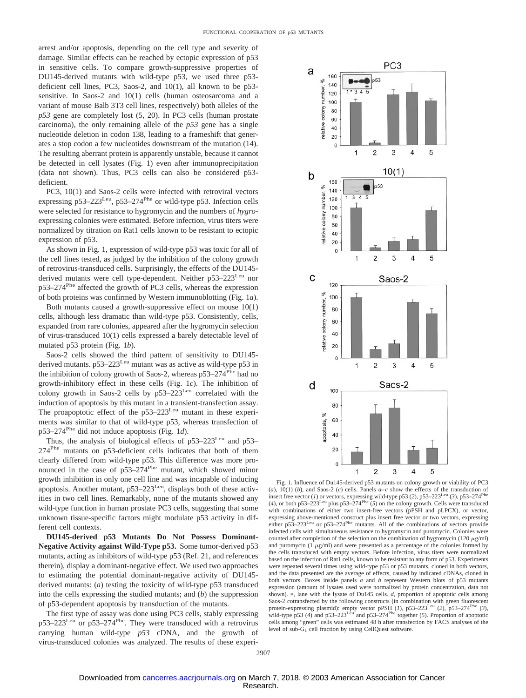arrest and/or apoptosis, depending on the cell type and severity of damage. Similar effects can be reached by ectopic expression of p53 in sensitive cells. To compare growth-suppressive properties of DU145-derived mutants with wild-type p53, we used three p53 deficient cell lines, PC3, Saos-2, and 10(1), all known to be p53 sensitive. In Saos-2 and 10(1) cells (human osteosarcoma and a variant of mouse Balb 3T3 cell lines, respectively) both alleles of the *p53* gene are completely lost (5, 20). In PC3 cells (human prostate carcinoma), the only remaining allele of the *p53* gene has a single nucleotide deletion in codon 138, leading to a frameshift that generates a stop codon a few nucleotides downstream of the mutation (14). The resulting aberrant protein is apparently unstable, because it cannot be detected in cell lysates (Fig. 1) even after immunoprecipitation (data not shown). Thus, PC3 cells can also be considered p53 deficient.

PC3, 10(1) and Saos-2 cells were infected with retroviral vectors expressing  $p53-223$ <sup>Leu</sup>,  $p53-274$ <sup>Phe</sup> or wild-type p53. Infection cells were selected for resistance to hygromycin and the numbers of *hygro*expressing colonies were estimated. Before infection, virus titers were normalized by titration on Rat1 cells known to be resistant to ectopic expression of p53.

As shown in Fig. 1, expression of wild-type p53 was toxic for all of the cell lines tested, as judged by the inhibition of the colony growth of retrovirus-transduced cells. Surprisingly, the effects of the DU145 derived mutants were cell type-dependent. Neither p53-223<sup>Leu</sup> nor p53–274Phe affected the growth of PC3 cells, whereas the expression of both proteins was confirmed by Western immunoblotting (Fig. 1*a*).

Both mutants caused a growth-suppressive effect on mouse 10(1) cells, although less dramatic than wild-type p53. Consistently, cells, expanded from rare colonies, appeared after the hygromycin selection of virus-transduced 10(1) cells expressed a barely detectable level of mutated p53 protein (Fig. 1*b*).

Saos-2 cells showed the third pattern of sensitivity to DU145 derived mutants. p53–223<sup>Leu</sup> mutant was as active as wild-type p53 in the inhibition of colony growth of Saos-2, whereas  $p53-274^{\text{Phe}}$  had no growth-inhibitory effect in these cells (Fig. 1*c*). The inhibition of colony growth in Saos-2 cells by  $p53-223$ Leu correlated with the induction of apoptosis by this mutant in a transient-transfection assay. The proapoptotic effect of the  $p53-223$ Leu mutant in these experiments was similar to that of wild-type p53, whereas transfection of p53–274Phe did not induce apoptosis (Fig. 1*d*).

Thus, the analysis of biological effects of p53–223<sup>Leu</sup> and p53– 274Phe mutants on p53-deficient cells indicates that both of them clearly differed from wild-type p53. This difference was more pronounced in the case of  $p53-274$ <sup>Phe</sup> mutant, which showed minor growth inhibition in only one cell line and was incapable of inducing apoptosis. Another mutant,  $p53-223$ Leu, displays both of these activities in two cell lines. Remarkably, none of the mutants showed any wild-type function in human prostate PC3 cells, suggesting that some unknown tissue-specific factors might modulate p53 activity in different cell contexts.

**DU145-derived p53 Mutants Do Not Possess Dominant-Negative Activity against Wild-Type p53.** Some tumor-derived p53 mutants, acting as inhibitors of wild-type p53 (Ref. 21, and references therein), display a dominant-negative effect. We used two approaches to estimating the potential dominant-negative activity of DU145 derived mutants: (*a*) testing the toxicity of wild-type p53 transduced into the cells expressing the studied mutants; and (*b*) the suppression of p53-dependent apoptosis by transduction of the mutants.

The first type of assay was done using PC3 cells, stably expressing p53–223Leu or p53–274Phe. They were transduced with a retrovirus carrying human wild-type *p53* cDNA, and the growth of virus-transduced colonies was analyzed. The results of these experi-



Fig. 1. Influence of Du145-derived p53 mutants on colony growth or viability of PC3 (*a*), 10(1) (*b*), and Saos-2 (*c*) cells. Panels  $a-c$  show the effects of the transduction of insert free vector (*1*) or vectors, expressing wild-type p53 (*2*), p53–223Leu (*3*), p53–274Phe (4), or both p53–223<sup>Leu</sup> plus p53–274<sup>Phe</sup> (5) on the colony growth. Cells were transduced with combinations of either two insert-free vectors (pPSH and pLPCX), or vector, expressing above-mentioned construct plus insert free vector or two vectors, expressing either p53–223<sup>Leu</sup> or p53–274<sup>Phe</sup> mutants. All of the combinations of vectors provide infected cells with simultaneous resistance to hygromycin and puromycin. Colonies were counted after completion of the selection on the combination of hygromycin (120  $\mu$ g/ml) and puromycin (1  $\mu$ g/ml) and were presented as a percentage of the colonies formed by the cells transduced with empty vectors. Before infection, virus titers were normalized based on the infection of Rat1 cells, known to be resistant to any form of p53. Experiments were repeated several times using wild-type p53 or p53 mutants, cloned in both vectors, and the data presented are the average of effects, caused by indicated cDNAs, cloned in both vectors. Boxes inside panels *a* and *b* represent Western blots of p53 mutants expression (amount of lysates used were normalized by protein concentration, data not shown). \*, lane with the lysate of Du145 cells. *d*, proportion of apoptotic cells among Saos-2 cotransfected by the following constructs (in combination with green fluorescent protein-expressing plasmid): empty vector pPSH (*1*), p53–223Leu (*2*), p53–274Phe (*3*), wild-type p53 (4) and p53–223<sup>Leu</sup> and p53–274<sup>Phe</sup> together (5). Proportion of apoptotic cells among "green" cells was estimated 48 h after transfection by FACS analyses of the level of  $sub-G<sub>1</sub>$  cell fraction by using CellQuest software.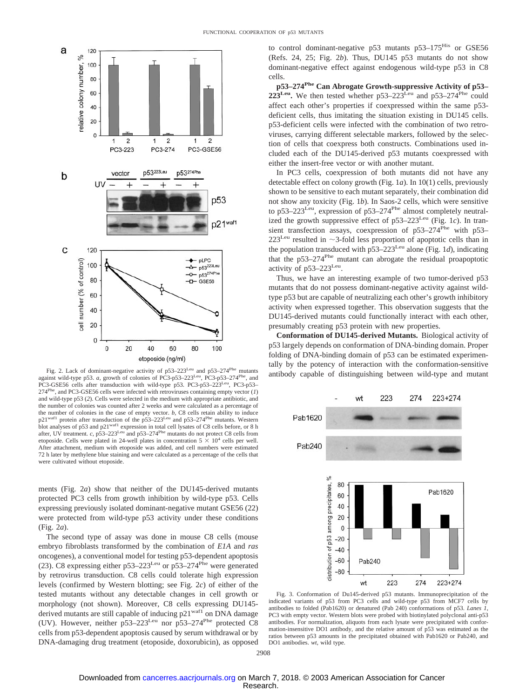

Fig. 2. Lack of dominant-negative activity of p53-223<sup>Leu</sup> and p53-274<sup>Phe</sup> mutants against wild-type p53. *a*, growth of colonies of PC3-p53–223<sup>Leu</sup>, PC3-p53–274<sup>Phe</sup>, and<br>PC3-GSE56 cells after transduction with wild-type p53. PC3-p53–223<sup>Leu</sup>, PC3-p53– 274Phe, and PC3-GSE56 cells were infected with retroviruses containing empty vector (*1*) and wild-type p53 (*2*). Cells were selected in the medium with appropriate antibiotic, and the number of colonies was counted after 2 weeks and were calculated as a percentage of the number of colonies in the case of empty vector. *b,* C8 cells retain ability to induce p21<sup>waf1</sup> protein after transduction of the p53–223<sup>Leu</sup> and p53–274<sup>Phe</sup> mutants. Western blot analyses of p53 and p21waf1 expression in total cell lysates of C8 cells before, or 8 h after, UV treatment. *c,* p53–223Leu and p53–274Phe mutants do not protect C8 cells from etoposide. Cells were plated in 24-well plates in concentration  $5 \times 10^4$  cells per well. After attachment, medium with etoposide was added, and cell numbers were estimated 72 h later by methylene blue staining and were calculated as a percentage of the cells that were cultivated without etoposide.

ments (Fig. 2*a*) show that neither of the DU145-derived mutants protected PC3 cells from growth inhibition by wild-type p53. Cells expressing previously isolated dominant-negative mutant GSE56 (22) were protected from wild-type p53 activity under these conditions (Fig. 2*a*).

The second type of assay was done in mouse C8 cells (mouse embryo fibroblasts transformed by the combination of *E1A* and *ras* oncogenes), a conventional model for testing p53-dependent apoptosis (23). C8 expressing either  $p53-223^{\text{Leu}}$  or  $p53-274^{\text{Phe}}$  were generated by retrovirus transduction. C8 cells could tolerate high expression levels (confirmed by Western blotting; see Fig. 2*c*) of either of the tested mutants without any detectable changes in cell growth or morphology (not shown). Moreover, C8 cells expressing DU145 derived mutants are still capable of inducing  $p21<sup>waf1</sup>$  on DNA damage (UV). However, neither p53–223Leu nor p53–274Phe protected C8 cells from p53-dependent apoptosis caused by serum withdrawal or by DNA-damaging drug treatment (etoposide, doxorubicin), as opposed to control dominant-negative p53 mutants p53–175<sup>His</sup> or GSE56 (Refs. 24, 25; Fig. 2*b*). Thus, DU145 p53 mutants do not show dominant-negative effect against endogenous wild-type p53 in C8 cells.

**p53–274Phe Can Abrogate Growth-suppressive Activity of p53–** 223<sup>Leu</sup>. We then tested whether p53–223<sup>Leu</sup> and p53–274<sup>Phe</sup> could affect each other's properties if coexpressed within the same p53 deficient cells, thus imitating the situation existing in DU145 cells. p53-deficient cells were infected with the combination of two retroviruses, carrying different selectable markers, followed by the selection of cells that coexpress both constructs. Combinations used included each of the DU145-derived p53 mutants coexpressed with either the insert-free vector or with another mutant.

In PC3 cells, coexpression of both mutants did not have any detectable effect on colony growth (Fig. 1*a*). In 10(1) cells, previously shown to be sensitive to each mutant separately, their combination did not show any toxicity (Fig. 1*b*). In Saos-2 cells, which were sensitive to p53-223<sup>Leu</sup>, expression of p53-274<sup>Phe</sup> almost completely neutralized the growth suppressive effect of p53–223Leu (Fig. 1*c*). In transient transfection assays, coexpression of p53-274<sup>Phe</sup> with p53- $223^{\text{Leu}}$  resulted in  $\sim$ 3-fold less proportion of apoptotic cells than in the population transduced with  $p53-223$ <sup>Leu</sup> alone (Fig. 1*d*), indicating that the p53–274Phe mutant can abrogate the residual proapoptotic activity of p53–223Leu.

Thus, we have an interesting example of two tumor-derived p53 mutants that do not possess dominant-negative activity against wildtype p53 but are capable of neutralizing each other's growth inhibitory activity when expressed together. This observation suggests that the DU145-derived mutants could functionally interact with each other, presumably creating p53 protein with new properties.

**Conformation of DU145-derived Mutants.** Biological activity of p53 largely depends on conformation of DNA-binding domain. Proper folding of DNA-binding domain of p53 can be estimated experimentally by the potency of interaction with the conformation-sensitive antibody capable of distinguishing between wild-type and mutant



Fig. 3. Conformation of Du145-derived p53 mutants. Immunoprecipitation of the indicated variants of p53 from PC3 cells and wild-type p53 from MCF7 cells by antibodies to folded (Pab1620) or denatured (Pab 240) conformations of p53. *Lanes 1*, PC3 with empty vector. Western blots were probed with biotinylated polyclonal anti-p53 antibodies. For normalization, aliquots from each lysate were precipitated with conformation-insensitive DO1 antibody, and the relative amount of p53 was estimated as the ratios between p53 amounts in the precipitated obtained with Pab1620 or Pab240, and DO1 antibodies. *wt,* wild type.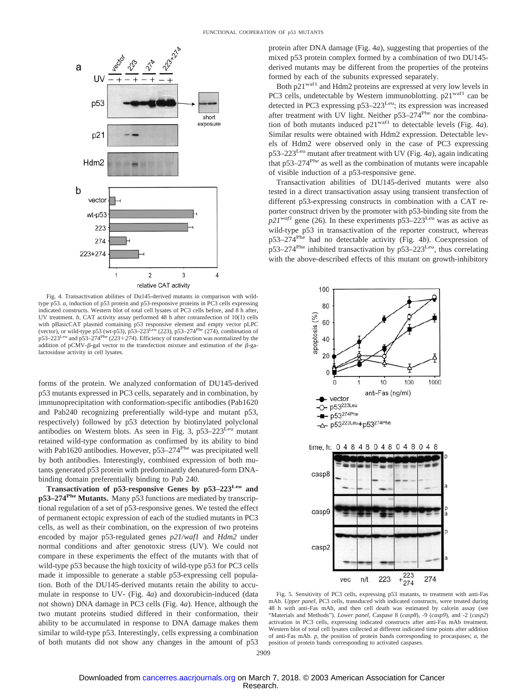

Fig. 4. Transactivation abilities of Du145-derived mutants in comparison with wildtype p53. *a,* induction of p53 protein and p53-responsive proteins in PC3 cells expressing indicated constructs. Western blot of total cell lysates of PC3 cells before, and 8 h after, UV treatment. *b,* CAT activity assay performed 48 h after cotransfection of 10(1) cells with pBasicCAT plasmid containing p53 responsive element and empty vector pLPC (vector), or wild-type p53 (wt-p53), p53–223<sup>Leu</sup> (223), p53–274<sup>Phe</sup> (274), combination of p53–223Leu and p53–274Phe (*223274*). Efficiency of transfection was normalized by the addition of pCMV- $\beta$ -gal vector to the transfection mixture and estimation of the  $\beta$ -galactosidase activity in cell lysates.

forms of the protein. We analyzed conformation of DU145-derived p53 mutants expressed in PC3 cells, separately and in combination, by immunoprecipitation with conformation-specific antibodies (Pab1620 and Pab240 recognizing preferentially wild-type and mutant p53, respectively) followed by p53 detection by biotinylated polyclonal antibodies on Western blots. As seen in Fig. 3, p53–223Leu mutant retained wild-type conformation as confirmed by its ability to bind with Pab1620 antibodies. However, p53–274<sup>Phe</sup> was precipitated well by both antibodies. Interestingly, combined expression of both mutants generated p53 protein with predominantly denatured-form DNAbinding domain preferentially binding to Pab 240.

**Transactivation of p53-responsive Genes by p53–223Leu and p53–274Phe Mutants.** Many p53 functions are mediated by transcriptional regulation of a set of p53-responsive genes. We tested the effect of permanent ectopic expression of each of the studied mutants in PC3 cells, as well as their combination, on the expression of two proteins encoded by major p53-regulated genes *p21/waf1* and *Hdm2* under normal conditions and after genotoxic stress (UV). We could not compare in these experiments the effect of the mutants with that of wild-type p53 because the high toxicity of wild-type p53 for PC3 cells made it impossible to generate a stable p53-expressing cell population. Both of the DU145-derived mutants retain the ability to accumulate in response to UV- (Fig. 4*a*) and doxorubicin-induced (data not shown) DNA damage in PC3 cells (Fig. 4*a*). Hence, although the two mutant proteins studied differed in their conformation, their ability to be accumulated in response to DNA damage makes them similar to wild-type p53. Interestingly, cells expressing a combination of both mutants did not show any changes in the amount of p53 protein after DNA damage (Fig. 4*a*), suggesting that properties of the mixed p53 protein complex formed by a combination of two DU145 derived mutants may be different from the properties of the proteins formed by each of the subunits expressed separately.

Both p21<sup>waf1</sup> and Hdm2 proteins are expressed at very low levels in PC3 cells, undetectable by Western immunoblotting. p21<sup>waf1</sup> can be detected in PC3 expressing p53–223<sup>Leu</sup>; its expression was increased after treatment with UV light. Neither p53-274<sup>Phe</sup> nor the combination of both mutants induced p21waf1 to detectable levels (Fig. 4*a*). Similar results were obtained with Hdm2 expression. Detectable levels of Hdm2 were observed only in the case of PC3 expressing p53–223Leu mutant after treatment with UV (Fig. 4*a*), again indicating that  $p53-274<sup>Phe</sup>$  as well as the combination of mutants were incapable of visible induction of a p53-responsive gene.

Transactivation abilities of DU145-derived mutants were also tested in a direct transactivation assay using transient transfection of different p53-expressing constructs in combination with a CAT reporter construct driven by the promoter with p53-binding site from the  $p21^{waf1}$  gene (26). In these experiments  $p53-223$ Leu was as active as wild-type p53 in transactivation of the reporter construct, whereas p53–274Phe had no detectable activity (Fig. 4*b*). Coexpression of  $p53-274$ <sup>Phe</sup> inhibited transactivation by  $p53-223$ Leu, thus correlating with the above-described effects of this mutant on growth-inhibitory



Fig. 5. Sensitivity of PC3 cells, expressing p53 mutants, to treatment with anti-Fas mAb. *Upper panel,* PC3 cells, transduced with indicated constructs, were treated during 48 h with anti-Fas mAb, and then cell death was estimated by calcein assay (see "Materials and Methods"). *Lower panel,* Caspase 8 (*casp8*), -9 (*casp9*), and -2 (*casp2*) activation in PC3 cells, expressing indicated constructs after anti-Fas mAb treatment. Western blot of total cell lysates collected at different indicated time points after addition of anti-Fas mAb. *p,* the position of protein bands corresponding to procaspases; *a,* the position of protein bands corresponding to activated caspases.

223

274

 $n/t$ 

vec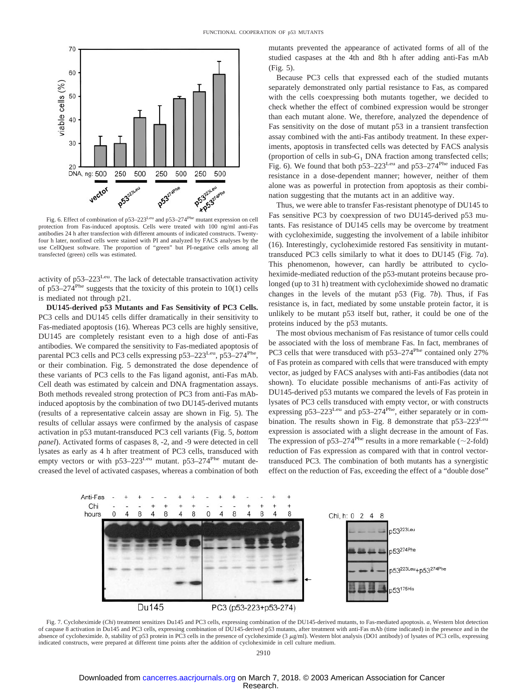

protection from Fas-induced apoptosis. Cells were treated with 100 ng/ml anti-Fas antibodies 24 h after transfection with different amounts of indicated constructs. Twentyfour h later, nonfixed cells were stained with PI and analyzed by FACS analyses by the use CellQuest software. The proportion of "green" but PI-negative cells among all transfected (green) cells was estimated.

activity of p53-223<sup>Leu</sup>. The lack of detectable transactivation activity of p53–274<sup>Phe</sup> suggests that the toxicity of this protein to  $10(1)$  cells is mediated not through p21.

**DU145-derived p53 Mutants and Fas Sensitivity of PC3 Cells.** PC3 cells and DU145 cells differ dramatically in their sensitivity to Fas-mediated apoptosis (16). Whereas PC3 cells are highly sensitive, DU145 are completely resistant even to a high dose of anti-Fas antibodies. We compared the sensitivity to Fas-mediated apoptosis of parental PC3 cells and PC3 cells expressing  $p53-223^{\text{Leu}}$ ,  $p53-274^{\text{Phe}}$ , or their combination. Fig. 5 demonstrated the dose dependence of these variants of PC3 cells to the Fas ligand agonist, anti-Fas mAb. Cell death was estimated by calcein and DNA fragmentation assays. Both methods revealed strong protection of PC3 from anti-Fas mAbinduced apoptosis by the combination of two DU145-derived mutants (results of a representative calcein assay are shown in Fig. 5). The results of cellular assays were confirmed by the analysis of caspase activation in p53 mutant-transduced PC3 cell variants (Fig. 5, *bottom panel*). Activated forms of caspases 8, -2, and -9 were detected in cell lysates as early as 4 h after treatment of PC3 cells, transduced with empty vectors or with  $p53-223$ Leu mutant.  $p53-274$ <sup>Phe</sup> mutant decreased the level of activated caspases, whereas a combination of both mutants prevented the appearance of activated forms of all of the studied caspases at the 4th and 8th h after adding anti-Fas mAb (Fig. 5).

Because PC3 cells that expressed each of the studied mutants separately demonstrated only partial resistance to Fas, as compared with the cells coexpressing both mutants together, we decided to check whether the effect of combined expression would be stronger than each mutant alone. We, therefore, analyzed the dependence of Fas sensitivity on the dose of mutant p53 in a transient transfection assay combined with the anti-Fas antibody treatment. In these experiments, apoptosis in transfected cells was detected by FACS analysis (proportion of cells in sub- $G_1$  DNA fraction among transfected cells; Fig. 6). We found that both  $p53-223$ Leu and  $p53-274$ <sup>Phe</sup> induced Fas resistance in a dose-dependent manner; however, neither of them alone was as powerful in protection from apoptosis as their combination suggesting that the mutants act in an additive way.

Thus, we were able to transfer Fas-resistant phenotype of DU145 to Fas sensitive PC3 by coexpression of two DU145-derived p53 mutants. Fas resistance of DU145 cells may be overcome by treatment with cycloheximide, suggesting the involvement of a labile inhibitor (16). Interestingly, cycloheximide restored Fas sensitivity in mutanttransduced PC3 cells similarly to what it does to DU145 (Fig. 7*a*). This phenomenon, however, can hardly be attributed to cycloheximide-mediated reduction of the p53-mutant proteins because prolonged (up to 31 h) treatment with cycloheximide showed no dramatic changes in the levels of the mutant p53 (Fig. 7*b*). Thus, if Fas resistance is, in fact, mediated by some unstable protein factor, it is unlikely to be mutant p53 itself but, rather, it could be one of the proteins induced by the p53 mutants.

The most obvious mechanism of Fas resistance of tumor cells could be associated with the loss of membrane Fas. In fact, membranes of PC3 cells that were transduced with p53–274<sup>Phe</sup> contained only 27% of Fas protein as compared with cells that were transduced with empty vector, as judged by FACS analyses with anti-Fas antibodies (data not shown). To elucidate possible mechanisms of anti-Fas activity of DU145-derived p53 mutants we compared the levels of Fas protein in lysates of PC3 cells transduced with empty vector, or with constructs expressing  $p53-223$ Leu and  $p53-274$ <sup>Phe</sup>, either separately or in combination. The results shown in Fig. 8 demonstrate that  $p53-223$ Leu expression is associated with a slight decrease in the amount of Fas. The expression of p53–274<sup>Phe</sup> results in a more remarkable ( $\sim$ 2-fold) reduction of Fas expression as compared with that in control vectortransduced PC3. The combination of both mutants has a synergistic effect on the reduction of Fas, exceeding the effect of a "double dose"



Fig. 7. Cycloheximide (*Chi*) treatment sensitizes Du145 and PC3 cells, expressing combination of the DU145-derived mutants, to Fas-mediated apoptosis. *a,* Western blot detection of caspase 8 activation in Du145 and PC3 cells, expressing combination of DU145-derived p53 mutants, after treatment with anti-Fas mAb (time indicated) in the presence and in the absence of cycloheximide. *b*, stability of p53 protein in PC3 cells in the presence of cycloheximide (3  $\mu$ g/ml). Western blot analysis (DO1 antibody) of lysates of PC3 cells, expressing indicated constructs, were prepared at different time points after the addition of cycloheximide in cell culture medium.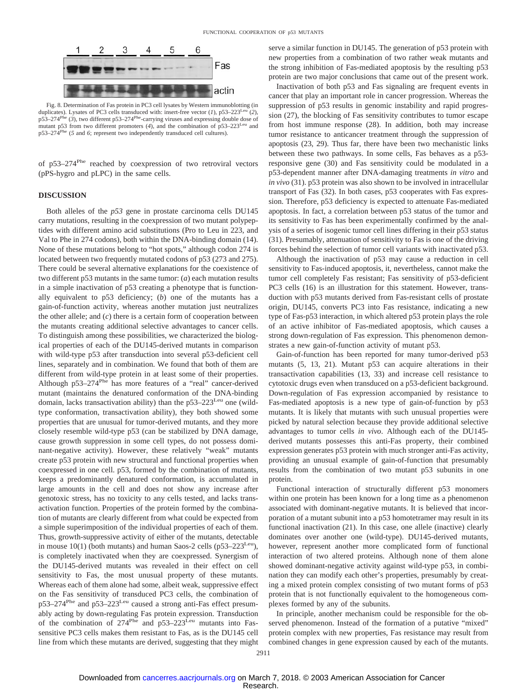

Fig. 8. Determination of Fas protein in PC3 cell lysates by Western immunoblotting (in duplicates). Lysates of PC3 cells transduced with: insert-free vector (1), p53-223<sup>Le</sup> p53–274Phe (*3*), two different p53–274Phe-carrying viruses and expressing double dose of mutant p53 from two different promoters (*4*), and the combination of p53–223Leu and p53–274Phe (*5* and *6*; represent two independently transduced cell cultures).

of p53–274Phe reached by coexpression of two retroviral vectors (pPS-hygro and pLPC) in the same cells.

#### **DISCUSSION**

Both alleles of the *p53* gene in prostate carcinoma cells DU145 carry mutations, resulting in the coexpression of two mutant polypeptides with different amino acid substitutions (Pro to Leu in 223, and Val to Phe in 274 codons), both within the DNA-binding domain (14). None of these mutations belong to "hot spots," although codon 274 is located between two frequently mutated codons of p53 (273 and 275). There could be several alternative explanations for the coexistence of two different p53 mutants in the same tumor: (*a*) each mutation results in a simple inactivation of p53 creating a phenotype that is functionally equivalent to p53 deficiency; (*b*) one of the mutants has a gain-of-function activity, whereas another mutation just neutralizes the other allele; and  $(c)$  there is a certain form of cooperation between the mutants creating additional selective advantages to cancer cells. To distinguish among these possibilities, we characterized the biological properties of each of the DU145-derived mutants in comparison with wild-type p53 after transduction into several p53-deficient cell lines, separately and in combination. We found that both of them are different from wild-type protein in at least some of their properties. Although p53-274<sup>Phe</sup> has more features of a "real" cancer-derived mutant (maintains the denatured conformation of the DNA-binding domain, lacks transactivation ability) than the  $p53-223$ Leu one (wildtype conformation, transactivation ability), they both showed some properties that are unusual for tumor-derived mutants, and they more closely resemble wild-type p53 (can be stabilized by DNA damage, cause growth suppression in some cell types, do not possess dominant-negative activity). However, these relatively "weak" mutants create p53 protein with new structural and functional properties when coexpressed in one cell. p53, formed by the combination of mutants, keeps a predominantly denatured conformation, is accumulated in large amounts in the cell and does not show any increase after genotoxic stress, has no toxicity to any cells tested, and lacks transactivation function. Properties of the protein formed by the combination of mutants are clearly different from what could be expected from a simple superimposition of the individual properties of each of them. Thus, growth-suppressive activity of either of the mutants, detectable in mouse  $10(1)$  (both mutants) and human Saos-2 cells (p53–223<sup>Leu</sup>), is completely inactivated when they are coexpressed. Synergism of the DU145-derived mutants was revealed in their effect on cell sensitivity to Fas, the most unusual property of these mutants. Whereas each of them alone had some, albeit weak, suppressive effect on the Fas sensitivity of transduced PC3 cells, the combination of  $p53-274$ <sup>Phe</sup> and  $p53-223$ <sup>Leu</sup> caused a strong anti-Fas effect presumably acting by down-regulating Fas protein expression. Transduction of the combination of 274<sup>Phe</sup> and p53–223<sup>Leu</sup> mutants into Fassensitive PC3 cells makes them resistant to Fas, as is the DU145 cell line from which these mutants are derived, suggesting that they might serve a similar function in DU145. The generation of p53 protein with new properties from a combination of two rather weak mutants and the strong inhibition of Fas-mediated apoptosis by the resulting p53 protein are two major conclusions that came out of the present work.

Inactivation of both p53 and Fas signaling are frequent events in cancer that play an important role in cancer progression. Whereas the suppression of p53 results in genomic instability and rapid progression (27), the blocking of Fas sensitivity contributes to tumor escape from host immune response (28). In addition, both may increase tumor resistance to anticancer treatment through the suppression of apoptosis (23, 29). Thus far, there have been two mechanistic links between these two pathways. In some cells, Fas behaves as a p53 responsive gene (30) and Fas sensitivity could be modulated in a p53-dependent manner after DNA-damaging treatments *in vitro* and *in vivo* (31). p53 protein was also shown to be involved in intracellular transport of Fas (32). In both cases, p53 cooperates with Fas expression. Therefore, p53 deficiency is expected to attenuate Fas-mediated apoptosis. In fact, a correlation between p53 status of the tumor and its sensitivity to Fas has been experimentally confirmed by the analysis of a series of isogenic tumor cell lines differing in their p53 status (31). Presumably, attenuation of sensitivity to Fas is one of the driving forces behind the selection of tumor cell variants with inactivated p53.

Although the inactivation of p53 may cause a reduction in cell sensitivity to Fas-induced apoptosis, it, nevertheless, cannot make the tumor cell completely Fas resistant; Fas sensitivity of p53-deficient PC3 cells (16) is an illustration for this statement. However, transduction with p53 mutants derived from Fas-resistant cells of prostate origin, DU145, converts PC3 into Fas resistance, indicating a new type of Fas-p53 interaction, in which altered p53 protein plays the role of an active inhibitor of Fas-mediated apoptosis, which causes a strong down-regulation of Fas expression. This phenomenon demonstrates a new gain-of-function activity of mutant p53.

Gain-of-function has been reported for many tumor-derived p53 mutants (5, 13, 21). Mutant p53 can acquire alterations in their transactivation capabilities (13, 33) and increase cell resistance to cytotoxic drugs even when transduced on a p53-deficient background. Down-regulation of Fas expression accompanied by resistance to Fas-mediated apoptosis is a new type of gain-of-function by p53 mutants. It is likely that mutants with such unusual properties were picked by natural selection because they provide additional selective advantages to tumor cells *in vivo*. Although each of the DU145 derived mutants possesses this anti-Fas property, their combined expression generates p53 protein with much stronger anti-Fas activity, providing an unusual example of gain-of-function that presumably results from the combination of two mutant p53 subunits in one protein.

Functional interaction of structurally different p53 monomers within one protein has been known for a long time as a phenomenon associated with dominant-negative mutants. It is believed that incorporation of a mutant subunit into a p53 homotetramer may result in its functional inactivation (21). In this case, one allele (inactive) clearly dominates over another one (wild-type). DU145-derived mutants, however, represent another more complicated form of functional interaction of two altered proteins. Although none of them alone showed dominant-negative activity against wild-type p53, in combination they can modify each other's properties, presumably by creating a mixed protein complex consisting of two mutant forms of p53 protein that is not functionally equivalent to the homogeneous complexes formed by any of the subunits.

In principle, another mechanism could be responsible for the observed phenomenon. Instead of the formation of a putative "mixed" protein complex with new properties, Fas resistance may result from combined changes in gene expression caused by each of the mutants.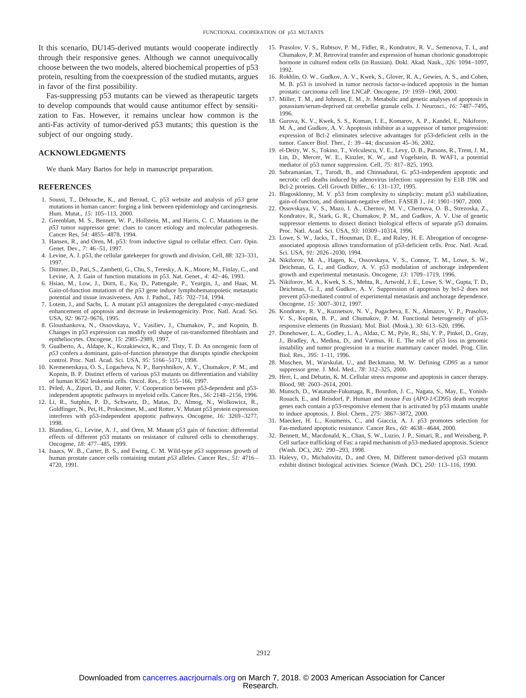It this scenario, DU145-derived mutants would cooperate indirectly through their responsive genes. Although we cannot unequivocally choose between the two models, altered biochemical properties of p53 protein, resulting from the coexpression of the studied mutants, argues in favor of the first possibility.

Fas-suppressing p53 mutants can be viewed as therapeutic targets to develop compounds that would cause antitumor effect by sensitization to Fas. However, it remains unclear how common is the anti-Fas activity of tumor-derived p53 mutants; this question is the subject of our ongoing study.

#### **ACKNOWLEDGMENTS**

We thank Mary Bartos for help in manuscript preparation.

#### **REFERENCES**

- 1. Soussi, T., Dehouche, K., and Beroud, C. p53 website and analysis of *p53* gene mutations in human cancer: forging a link between epidemiology and carcinogenesis. Hum. Mutat., *15:* 105–113, 2000.
- 2. Greenblatt, M. S., Bennett, W. P., Hollstein, M., and Harris, C. C. Mutations in the *p53* tumor suppressor gene: clues to cancer etiology and molecular pathogenesis. Cancer Res, *54:* 4855–4878, 1994.
- 3. Hansen, R., and Oren, M. p53: from inductive signal to cellular effect. Curr. Opin. Genet. Dev., *7:* 46–51, 1997.
- 4. Levine, A. J. p53, the cellular gatekeeper for growth and division. Cell, *88:* 323–331, 1997.
- 5. Dittmer, D., Pati, S., Zambetti, G., Chu, S., Teresky, A. K., Moore, M., Finlay, C., and Levine, A. J. Gain of function mutations in p53. Nat. Genet., *4:* 42–46, 1993.
- 6. Hsiao, M., Low, J., Dorn, E., Ku, D., Pattengale, P., Yeargin, J., and Haas, M. Gain-of-function mutations of the *p53* gene induce lymphohematopoietic metastatic potential and tissue invasiveness. Am. J. Pathol., *145:* 702–714, 1994.
- 7. Lotem, J., and Sachs, L. A mutant p53 antagonizes the deregulated c-myc-mediated enhancement of apoptosis and decrease in leukemogenicity. Proc. Natl. Acad. Sci. USA, *92:* 9672–9676, 1995.
- 8. Gloushankova, N., Ossovskaya, V., Vasiliev, J., Chumakov, P., and Kopnin, B. Changes in p53 expression can modify cell shape of ras-transformed fibroblasts and epitheliocytes. Oncogene, *15:* 2985–2989, 1997.
- 9. Gualberto, A., Aldape, K., Kozakiewicz, K., and Tlsty, T. D. An oncogenic form of *p53* confers a dominant, gain-of-function phenotype that disrupts spindle checkpoint control. Proc. Natl. Acad. Sci. USA, *95:* 5166–5171, 1998.
- 10. Kremenetskaya, O. S., Logacheva, N. P., Baryshnikov, A. Y., Chumakov, P. M., and Kopnin, B. P. Distinct effects of various p53 mutants on differentiation and viability of human K562 leukemia cells. Oncol. Res., *9:* 155–166, 1997.
- 11. Peled, A., Zipori, D., and Rotter, V. Cooperation between p53-dependent and p53 independent apoptotic pathways in myeloid cells. Cancer Res., *56:* 2148–2156, 1996.
- 12. Li, R., Sutphin, P. D., Schwartz, D., Matas, D., Almog, N., Wolkowicz, R., Goldfinger, N., Pei, H., Prokocimer, M., and Rotter, V. Mutant p53 protein expression interferes with p53-independent apoptotic pathways. Oncogene, *16:* 3269–3277, 1998.
- 13. Blandino, G., Levine, A. J., and Oren, M. Mutant p53 gain of function: differential effects of different p53 mutants on resistance of cultured cells to chemotherapy. Oncogene, *18:* 477–485, 1999.
- 14. Isaacs, W. B., Carter, B. S., and Ewing, C. M. Wild-type *p53* suppresses growth of human prostate cancer cells containing mutant *p53* alleles. Cancer Res., *51:* 4716– 4720, 1991.
- 15. Prasolov, V. S., Rubtsov, P. M., Fidler, R., Kondratov, R. V., Semenova, T. I., and Chumakov, P. M. Retroviral transfer and expression of human chorionic gonadotropic hormone in cultured rodent cells (in Russian). Dokl. Akad. Nauk., *326:* 1094–1097, 1992.
- 16. Rokhlin, O. W., Gudkov, A. V., Kwek, S., Glover, R. A., Gewies, A. S., and Cohen, M. B. p53 is involved in tumor necrosis factor- $\alpha$ -induced apoptosis in the human prostatic carcinoma cell line LNCaP. Oncogene, *19:* 1959–1968, 2000.
- 17. Miller, T. M., and Johnson, E. M., Jr. Metabolic and genetic analyses of apoptosis in potassium/serum-deprived rat cerebellar granule cells. J. Neurosci., *16:* 7487–7495, 1996.
- 18. Gurova, K. V., Kwek, S. S., Koman, I. E., Komarov, A. P., Kandel, E., Nikiforov, M. A., and Gudkov, A. V. Apoptosis inhibitor as a suppressor of tumor progression: expression of Bcl-2 eliminates selective advantages for p53-deficient cells in the tumor. Cancer Biol. Ther., *1:* 39–44; discussion 45–36, 2002.
- 19. el-Deiry, W. S., Tokino, T., Velculescu, V. E., Levy, D. B., Parsons, R., Trent, J. M., Lin, D., Mercer, W. E., Kinzler, K. W., and Vogelstein, B. WAF1, a potential mediator of p53 tumor suppression. Cell, *75:* 817–825, 1993.
- 20. Subramanian, T., Tarodi, B., and Chinnadurai, G. p53-independent apoptotic and necrotic cell deaths induced by adenovirus infection: suppression by E1B 19K and Bcl-2 proteins. Cell Growth Differ., *6:* 131–137, 1995.
- 21. Blagosklonny, M. V. p53 from complexity to simplicity: mutant p53 stabilization, gain-of-function, and dominant-negative effect. FASEB J., *14:* 1901–1907, 2000.
- 22. Ossovskaya, V. S., Mazo, I. A., Chernov, M. V., Chernova, O. B., Strezoska, Z., Kondratov, R., Stark, G. R., Chumakov, P. M., and Gudkov, A. V. Use of genetic suppressor elements to dissect distinct biological effects of separate p53 domains. Proc. Natl. Acad. Sci. USA, *93:* 10309–10314, 1996.
- 23. Lowe, S. W., Jacks, T., Housman, D. E., and Ruley, H. E. Abrogation of oncogeneassociated apoptosis allows transformation of p53-deficient cells. Proc. Natl. Acad. Sci. USA, *91:* 2026–2030, 1994.
- 24. Nikiforov, M. A., Hagen, K., Ossovskaya, V. S., Connor, T. M., Lowe, S. W., Deichman, G. I., and Gudkov, A. V. p53 modulation of anchorage independent growth and experimental metastasis. Oncogene, *13:* 1709–1719, 1996.
- 25. Nikiforov, M. A., Kwek, S. S., Mehta, R., Artwohl, J. E., Lowe, S. W., Gupta, T. D., Deichman, G. I., and Gudkov, A. V. Suppression of apoptosis by bcl-2 does not prevent p53-mediated control of experimental metastasis and anchorage dependence. Oncogene, *15:* 3007–3012, 1997.
- 26. Kondratov, R. V., Kuznetsov, N. V., Pugacheva, E. N., Almazov, V. P., Prasolov, V. S., Kopnin, B. P., and Chumakov, P. M. Functional heterogeneity of p53 responsive elements (in Russian). Mol. Biol. (Mosk.), *30:* 613–620, 1996.
- 27. Donehower, L. A., Godley, L. A., Aldaz, C. M., Pyle, R., Shi, Y. P., Pinkel, D., Gray, J., Bradley, A., Medina, D., and Varmus, H. E. The role of p53 loss in genomic instability and tumor progression in a murine mammary cancer model. Prog. Clin. Biol. Res., *395:* 1–11, 1996.
- 28. Muschen, M., Warskulat, U., and Beckmann, M. W. Defining *CD95* as a tumor suppressor gene. J. Mol. Med., *78:* 312–325, 2000.
- 29. Herr, I., and Debatin, K. M. Cellular stress response and apoptosis in cancer therapy. Blood, *98:* 2603–2614, 2001.
- 30. Munsch, D., Watanabe-Fukunaga, R., Bourdon, J. C., Nagata, S., May, E., Yonish-Rouach, E., and Reisdorf, P. Human and mouse *Fas* (*APO-1/CD95*) death receptor genes each contain a p53-responsive element that is activated by p53 mutants unable to induce apoptosis. J. Biol. Chem., *275:* 3867–3872, 2000.
- 31. Maecker, H. L., Koumenis, C., and Giaccia, A. J. p53 promotes selection for Fas-mediated apoptotic resistance. Cancer Res., *60:* 4638–4644, 2000.
- 32. Bennett, M., Macdonald, K., Chan, S. W., Luzio, J. P., Simari, R., and Weissberg, P. Cell surface trafficking of Fas: a rapid mechanism of p53-mediated apoptosis. Science (Wash. DC), *282:* 290–293, 1998.
- 33. Halevy, O., Michalovitz, D., and Oren, M. Different tumor-derived p53 mutants exhibit distinct biological activities. Science (Wash. DC), *250:* 113–116, 1990.